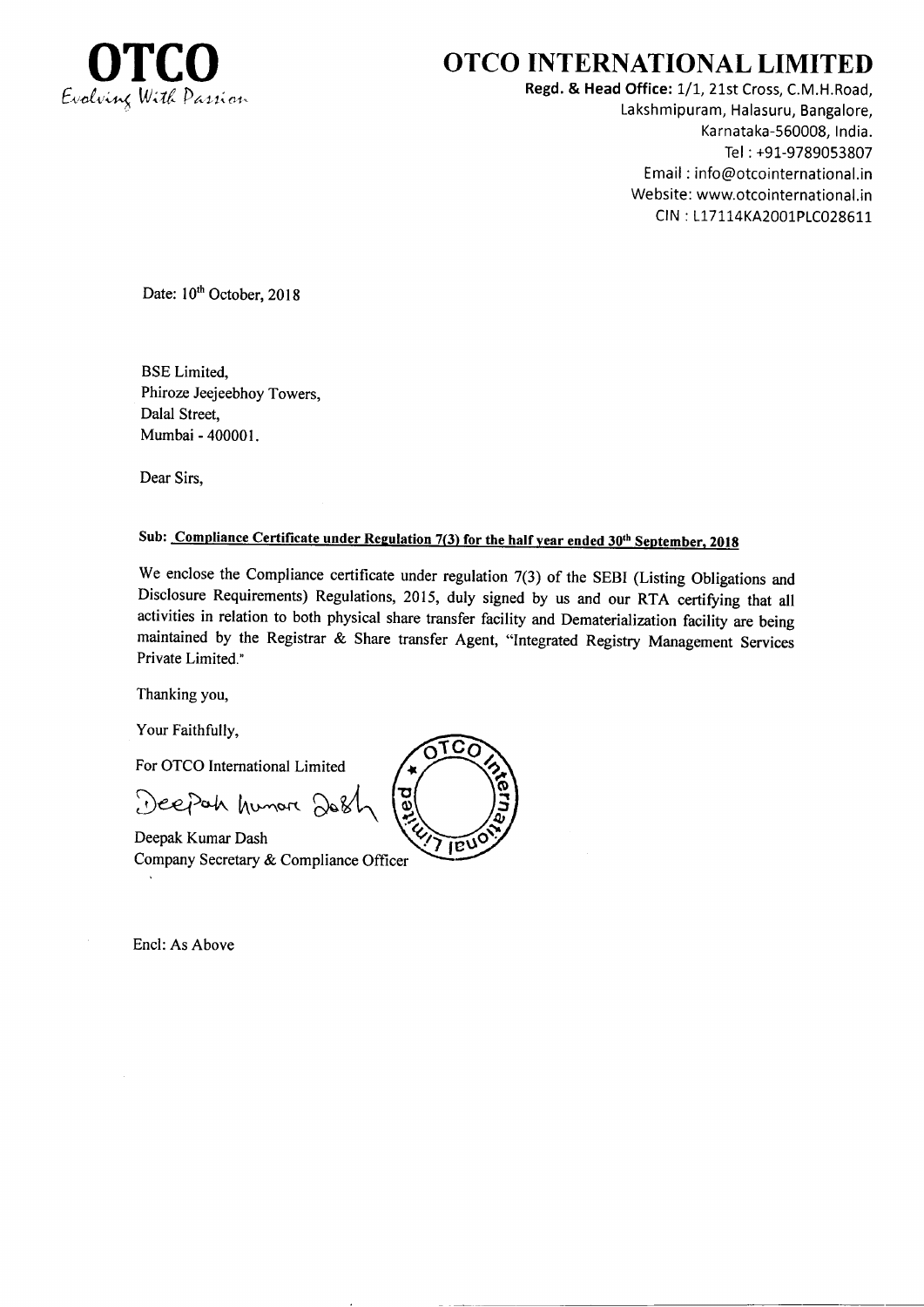

## **OTCO INTERNATIONAL LIMITED**

Regd. & Head Office: 1/1, 21st Cross, C.M.H.Road, Lakshmipuram, Halasuru, Bangalore, Karnataka-560008, India. Tel: +91-9789053807 Email: info@otcointernational.in Website: www.otcointernational.in CIN: L17114KA2001PLC028611

Date: 10<sup>th</sup> October, 2018

**BSE** Limited, Phiroze Jeejeebhoy Towers, Dalal Street, Mumbai - 400001.

Dear Sirs,

## Sub: Compliance Certificate under Regulation 7(3) for the half year ended 30<sup>th</sup> September, 2018

We enclose the Compliance certificate under regulation 7(3) of the SEBI (Listing Obligations and Disclosure Requirements) Regulations, 2015, duly signed by us and our RTA certifying that all activities in relation to both physical share transfer facility and Dematerialization facility are being maintained by the Registrar & Share transfer Agent, "Integrated Registry Management Services Private Limited."

Thanking you,

Your Faithfully,

For OTCO International Limited

Deepah humare 8

Deepak Kumar Dash Company Secretary & Compliance Officer

Encl: As Above